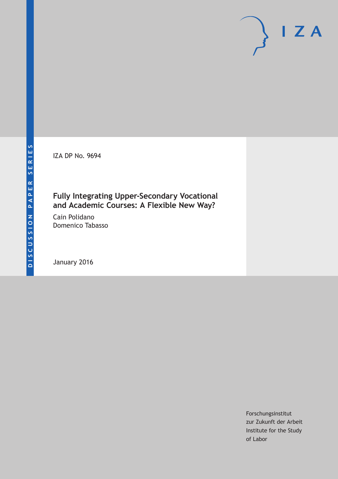IZA DP No. 9694

### **Fully Integrating Upper-Secondary Vocational and Academic Courses: A Flexible New Way?**

Cain Polidano Domenico Tabasso

January 2016

Forschungsinstitut zur Zukunft der Arbeit Institute for the Study of Labor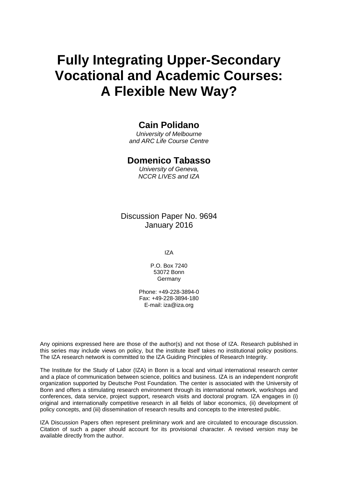# **Fully Integrating Upper-Secondary Vocational and Academic Courses: A Flexible New Way?**

### **Cain Polidano**

*University of Melbourne and ARC Life Course Centre* 

#### **Domenico Tabasso**

*University of Geneva, NCCR LIVES and IZA* 

Discussion Paper No. 9694 January 2016

IZA

P.O. Box 7240 53072 Bonn **Germany** 

Phone: +49-228-3894-0 Fax: +49-228-3894-180 E-mail: iza@iza.org

Any opinions expressed here are those of the author(s) and not those of IZA. Research published in this series may include views on policy, but the institute itself takes no institutional policy positions. The IZA research network is committed to the IZA Guiding Principles of Research Integrity.

The Institute for the Study of Labor (IZA) in Bonn is a local and virtual international research center and a place of communication between science, politics and business. IZA is an independent nonprofit organization supported by Deutsche Post Foundation. The center is associated with the University of Bonn and offers a stimulating research environment through its international network, workshops and conferences, data service, project support, research visits and doctoral program. IZA engages in (i) original and internationally competitive research in all fields of labor economics, (ii) development of policy concepts, and (iii) dissemination of research results and concepts to the interested public.

IZA Discussion Papers often represent preliminary work and are circulated to encourage discussion. Citation of such a paper should account for its provisional character. A revised version may be available directly from the author.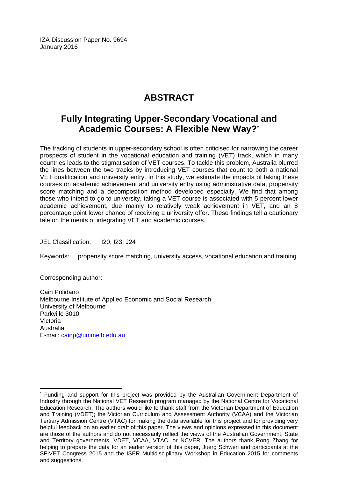IZA Discussion Paper No. 9694 January 2016

# **ABSTRACT**

# **Fully Integrating Upper-Secondary Vocational and Academic Courses: A Flexible New Way?\***

The tracking of students in upper-secondary school is often criticised for narrowing the career prospects of student in the vocational education and training (VET) track, which in many countries leads to the stigmatisation of VET courses. To tackle this problem, Australia blurred the lines between the two tracks by introducing VET courses that count to both a national VET qualification and university entry. In this study, we estimate the impacts of taking these courses on academic achievement and university entry using administrative data, propensity score matching and a decomposition method developed especially. We find that among those who intend to go to university, taking a VET course is associated with 5 percent lower academic achievement, due mainly to relatively weak achievement in VET, and an 8 percentage point lower chance of receiving a university offer. These findings tell a cautionary tale on the merits of integrating VET and academic courses.

JEL Classification: I20, I23, J24

Keywords: propensity score matching, university access, vocational education and training

Corresponding author:

Cain Polidano Melbourne Institute of Applied Economic and Social Research University of Melbourne Parkville 3010 Victoria Australia E-mail: cainp@unimelb.edu.au

 $\overline{\phantom{a}}$ \* Funding and support for this project was provided by the Australian Government Department of Industry through the National VET Research program managed by the National Centre for Vocational Education Research. The authors would like to thank staff from the Victorian Department of Education and Training (VDET); the Victorian Curriculum and Assessment Authority (VCAA) and the Victorian Tertiary Admission Centre (VTAC) for making the data available for this project and for providing very helpful feedback on an earlier draft of this paper. The views and opinions expressed in this document are those of the authors and do not necessarily reflect the views of the Australian Government, State and Territory governments, VDET, VCAA, VTAC, or NCVER. The authors thank Rong Zhang for helping to prepare the data for an earlier version of this paper, Juerg Schweri and participants at the SFIVET Congress 2015 and the ISER Multidisciplinary Workshop in Education 2015 for comments and suggestions.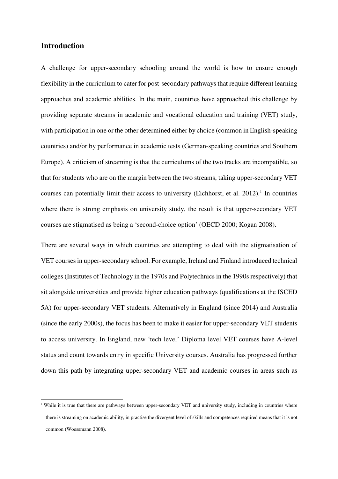#### **Introduction**

 $\overline{a}$ 

A challenge for upper-secondary schooling around the world is how to ensure enough flexibility in the curriculum to cater for post-secondary pathways that require different learning approaches and academic abilities. In the main, countries have approached this challenge by providing separate streams in academic and vocational education and training (VET) study, with participation in one or the other determined either by choice (common in English-speaking countries) and/or by performance in academic tests (German-speaking countries and Southern Europe). A criticism of streaming is that the curriculums of the two tracks are incompatible, so that for students who are on the margin between the two streams, taking upper-secondary VET courses can potentially limit their access to university (Eichhorst, et al.  $2012$ ).<sup>1</sup> In countries where there is strong emphasis on university study, the result is that upper-secondary VET courses are stigmatised as being a 'second-choice option' (OECD 2000; Kogan 2008).

There are several ways in which countries are attempting to deal with the stigmatisation of VET courses in upper-secondary school. For example, Ireland and Finland introduced technical colleges (Institutes of Technology in the 1970s and Polytechnics in the 1990s respectively) that sit alongside universities and provide higher education pathways (qualifications at the ISCED 5A) for upper-secondary VET students. Alternatively in England (since 2014) and Australia (since the early 2000s), the focus has been to make it easier for upper-secondary VET students to access university. In England, new 'tech level' Diploma level VET courses have A-level status and count towards entry in specific University courses. Australia has progressed further down this path by integrating upper-secondary VET and academic courses in areas such as

<sup>&</sup>lt;sup>1</sup> While it is true that there are pathways between upper-secondary VET and university study, including in countries where there is streaming on academic ability, in practise the divergent level of skills and competences required means that it is not common (Woessmann 2008).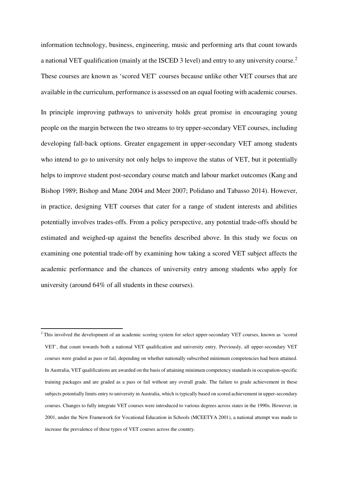information technology, business, engineering, music and performing arts that count towards a national VET qualification (mainly at the ISCED 3 level) and entry to any university course.<sup>2</sup> These courses are known as 'scored VET' courses because unlike other VET courses that are available in the curriculum, performance is assessed on an equal footing with academic courses.

In principle improving pathways to university holds great promise in encouraging young people on the margin between the two streams to try upper-secondary VET courses, including developing fall-back options. Greater engagement in upper-secondary VET among students who intend to go to university not only helps to improve the status of VET, but it potentially helps to improve student post-secondary course match and labour market outcomes (Kang and Bishop 1989; Bishop and Mane 2004 and Meer 2007; Polidano and Tabasso 2014). However, in practice, designing VET courses that cater for a range of student interests and abilities potentially involves trades-offs. From a policy perspective, any potential trade-offs should be estimated and weighed-up against the benefits described above. In this study we focus on examining one potential trade-off by examining how taking a scored VET subject affects the academic performance and the chances of university entry among students who apply for university (around 64% of all students in these courses).

<sup>&</sup>lt;sup>2</sup> This involved the development of an academic scoring system for select upper-secondary VET courses, known as 'scored VET', that count towards both a national VET qualification and university entry. Previously, all upper-secondary VET courses were graded as pass or fail, depending on whether nationally subscribed minimum competencies had been attained. In Australia, VET qualifications are awarded on the basis of attaining minimum competency standards in occupation-specific training packages and are graded as a pass or fail without any overall grade. The failure to grade achievement in these subjects potentially limits entry to university in Australia, which is typically based on scored achievement in upper-secondary courses. Changes to fully integrate VET courses were introduced to various degrees across states in the 1990s. However, in 2001, under the New Framework for Vocational Education in Schools (MCEETYA 2001), a national attempt was made to increase the prevalence of these types of VET courses across the country.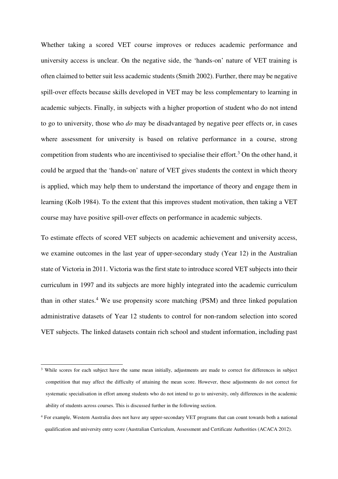Whether taking a scored VET course improves or reduces academic performance and university access is unclear. On the negative side, the 'hands-on' nature of VET training is often claimed to better suit less academic students (Smith 2002). Further, there may be negative spill-over effects because skills developed in VET may be less complementary to learning in academic subjects. Finally, in subjects with a higher proportion of student who do not intend to go to university, those who *do* may be disadvantaged by negative peer effects or, in cases where assessment for university is based on relative performance in a course, strong competition from students who are incentivised to specialise their effort.<sup>3</sup> On the other hand, it could be argued that the 'hands-on' nature of VET gives students the context in which theory is applied, which may help them to understand the importance of theory and engage them in learning (Kolb 1984). To the extent that this improves student motivation, then taking a VET course may have positive spill-over effects on performance in academic subjects.

To estimate effects of scored VET subjects on academic achievement and university access, we examine outcomes in the last year of upper-secondary study (Year 12) in the Australian state of Victoria in 2011. Victoria was the first state to introduce scored VET subjects into their curriculum in 1997 and its subjects are more highly integrated into the academic curriculum than in other states.<sup>4</sup> We use propensity score matching (PSM) and three linked population administrative datasets of Year 12 students to control for non-random selection into scored VET subjects. The linked datasets contain rich school and student information, including past

L

<sup>&</sup>lt;sup>3</sup> While scores for each subject have the same mean initially, adjustments are made to correct for differences in subject competition that may affect the difficulty of attaining the mean score. However, these adjustments do not correct for systematic specialisation in effort among students who do not intend to go to university, only differences in the academic ability of students across courses. This is discussed further in the following section.

<sup>4</sup> For example, Western Australia does not have any upper-secondary VET programs that can count towards both a national qualification and university entry score (Australian Curriculum, Assessment and Certificate Authorities (ACACA 2012).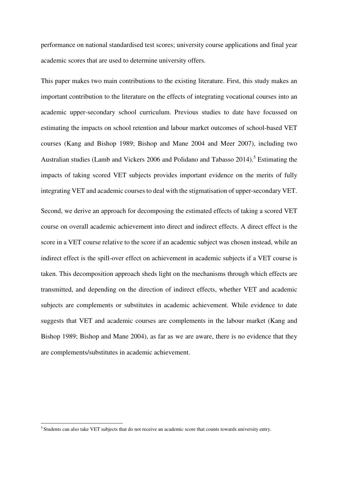performance on national standardised test scores; university course applications and final year academic scores that are used to determine university offers.

This paper makes two main contributions to the existing literature. First, this study makes an important contribution to the literature on the effects of integrating vocational courses into an academic upper-secondary school curriculum. Previous studies to date have focussed on estimating the impacts on school retention and labour market outcomes of school-based VET courses (Kang and Bishop 1989; Bishop and Mane 2004 and Meer 2007), including two Australian studies (Lamb and Vickers 2006 and Polidano and Tabasso 2014).<sup>5</sup> Estimating the impacts of taking scored VET subjects provides important evidence on the merits of fully integrating VET and academic courses to deal with the stigmatisation of upper-secondary VET.

Second, we derive an approach for decomposing the estimated effects of taking a scored VET course on overall academic achievement into direct and indirect effects. A direct effect is the score in a VET course relative to the score if an academic subject was chosen instead, while an indirect effect is the spill-over effect on achievement in academic subjects if a VET course is taken. This decomposition approach sheds light on the mechanisms through which effects are transmitted, and depending on the direction of indirect effects, whether VET and academic subjects are complements or substitutes in academic achievement. While evidence to date suggests that VET and academic courses are complements in the labour market (Kang and Bishop 1989; Bishop and Mane 2004), as far as we are aware, there is no evidence that they are complements/substitutes in academic achievement.

<sup>5</sup> Students can also take VET subjects that do not receive an academic score that counts towards university entry.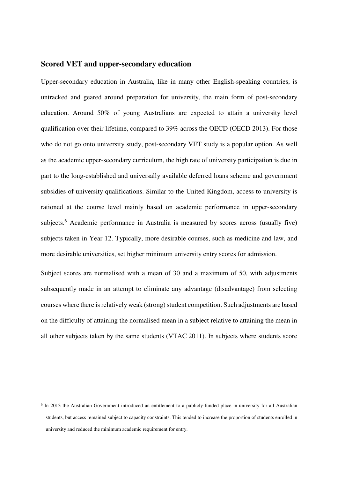#### **Scored VET and upper-secondary education**

Upper-secondary education in Australia, like in many other English-speaking countries, is untracked and geared around preparation for university, the main form of post-secondary education. Around 50% of young Australians are expected to attain a university level qualification over their lifetime, compared to 39% across the OECD (OECD 2013). For those who do not go onto university study, post-secondary VET study is a popular option. As well as the academic upper-secondary curriculum, the high rate of university participation is due in part to the long-established and universally available deferred loans scheme and government subsidies of university qualifications. Similar to the United Kingdom, access to university is rationed at the course level mainly based on academic performance in upper-secondary subjects.<sup>6</sup> Academic performance in Australia is measured by scores across (usually five) subjects taken in Year 12. Typically, more desirable courses, such as medicine and law, and more desirable universities, set higher minimum university entry scores for admission.

Subject scores are normalised with a mean of 30 and a maximum of 50, with adjustments subsequently made in an attempt to eliminate any advantage (disadvantage) from selecting courses where there is relatively weak (strong) student competition. Such adjustments are based on the difficulty of attaining the normalised mean in a subject relative to attaining the mean in all other subjects taken by the same students (VTAC 2011). In subjects where students score

<sup>&</sup>lt;sup>6</sup> In 2013 the Australian Government introduced an entitlement to a publicly-funded place in university for all Australian students, but access remained subject to capacity constraints. This tended to increase the proportion of students enrolled in university and reduced the minimum academic requirement for entry.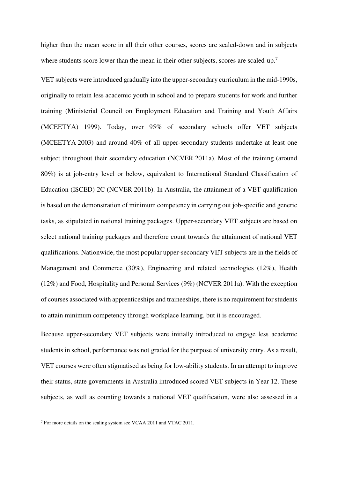higher than the mean score in all their other courses, scores are scaled-down and in subjects where students score lower than the mean in their other subjects, scores are scaled-up.<sup>7</sup>

VET subjects were introduced gradually into the upper-secondary curriculum in the mid-1990s, originally to retain less academic youth in school and to prepare students for work and further training (Ministerial Council on Employment Education and Training and Youth Affairs (MCEETYA) 1999). Today, over 95% of secondary schools offer VET subjects (MCEETYA 2003) and around 40% of all upper-secondary students undertake at least one subject throughout their secondary education (NCVER 2011a). Most of the training (around 80%) is at job-entry level or below, equivalent to International Standard Classification of Education (ISCED) 2C (NCVER 2011b). In Australia, the attainment of a VET qualification is based on the demonstration of minimum competency in carrying out job-specific and generic tasks, as stipulated in national training packages. Upper-secondary VET subjects are based on select national training packages and therefore count towards the attainment of national VET qualifications. Nationwide, the most popular upper-secondary VET subjects are in the fields of Management and Commerce (30%), Engineering and related technologies (12%), Health (12%) and Food, Hospitality and Personal Services (9%) (NCVER 2011a). With the exception of courses associated with apprenticeships and traineeships, there is no requirement for students to attain minimum competency through workplace learning, but it is encouraged.

Because upper-secondary VET subjects were initially introduced to engage less academic students in school, performance was not graded for the purpose of university entry. As a result, VET courses were often stigmatised as being for low-ability students. In an attempt to improve their status, state governments in Australia introduced scored VET subjects in Year 12. These subjects, as well as counting towards a national VET qualification, were also assessed in a

<sup>&</sup>lt;sup>7</sup> For more details on the scaling system see VCAA 2011 and VTAC 2011.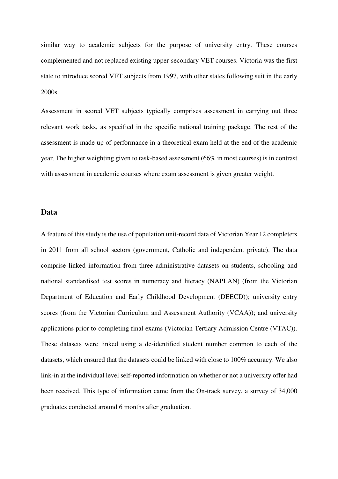similar way to academic subjects for the purpose of university entry. These courses complemented and not replaced existing upper-secondary VET courses. Victoria was the first state to introduce scored VET subjects from 1997, with other states following suit in the early 2000s.

Assessment in scored VET subjects typically comprises assessment in carrying out three relevant work tasks, as specified in the specific national training package. The rest of the assessment is made up of performance in a theoretical exam held at the end of the academic year. The higher weighting given to task-based assessment (66% in most courses) is in contrast with assessment in academic courses where exam assessment is given greater weight.

#### **Data**

A feature of this study is the use of population unit-record data of Victorian Year 12 completers in 2011 from all school sectors (government, Catholic and independent private). The data comprise linked information from three administrative datasets on students, schooling and national standardised test scores in numeracy and literacy (NAPLAN) (from the Victorian Department of Education and Early Childhood Development (DEECD)); university entry scores (from the Victorian Curriculum and Assessment Authority (VCAA)); and university applications prior to completing final exams (Victorian Tertiary Admission Centre (VTAC)). These datasets were linked using a de-identified student number common to each of the datasets, which ensured that the datasets could be linked with close to 100% accuracy. We also link-in at the individual level self-reported information on whether or not a university offer had been received. This type of information came from the On-track survey, a survey of 34,000 graduates conducted around 6 months after graduation.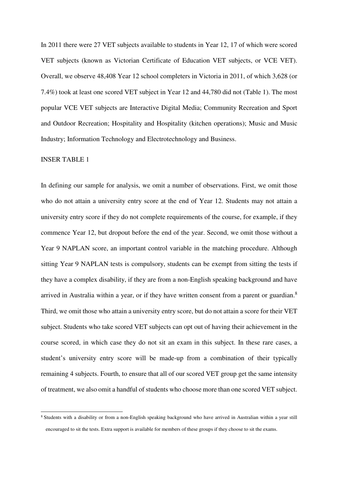In 2011 there were 27 VET subjects available to students in Year 12, 17 of which were scored VET subjects (known as Victorian Certificate of Education VET subjects, or VCE VET). Overall, we observe 48,408 Year 12 school completers in Victoria in 2011, of which 3,628 (or 7.4%) took at least one scored VET subject in Year 12 and 44,780 did not (Table 1). The most popular VCE VET subjects are Interactive Digital Media; Community Recreation and Sport and Outdoor Recreation; Hospitality and Hospitality (kitchen operations); Music and Music Industry; Information Technology and Electrotechnology and Business.

#### INSER TABLE 1

 $\overline{a}$ 

In defining our sample for analysis, we omit a number of observations. First, we omit those who do not attain a university entry score at the end of Year 12. Students may not attain a university entry score if they do not complete requirements of the course, for example, if they commence Year 12, but dropout before the end of the year. Second, we omit those without a Year 9 NAPLAN score, an important control variable in the matching procedure. Although sitting Year 9 NAPLAN tests is compulsory, students can be exempt from sitting the tests if they have a complex disability, if they are from a non-English speaking background and have arrived in Australia within a year, or if they have written consent from a parent or guardian.<sup>8</sup> Third, we omit those who attain a university entry score, but do not attain a score for their VET subject. Students who take scored VET subjects can opt out of having their achievement in the course scored, in which case they do not sit an exam in this subject. In these rare cases, a student's university entry score will be made-up from a combination of their typically remaining 4 subjects. Fourth, to ensure that all of our scored VET group get the same intensity of treatment, we also omit a handful of students who choose more than one scored VET subject.

<sup>&</sup>lt;sup>8</sup> Students with a disability or from a non-English speaking background who have arrived in Australian within a year still encouraged to sit the tests. Extra support is available for members of these groups if they choose to sit the exams.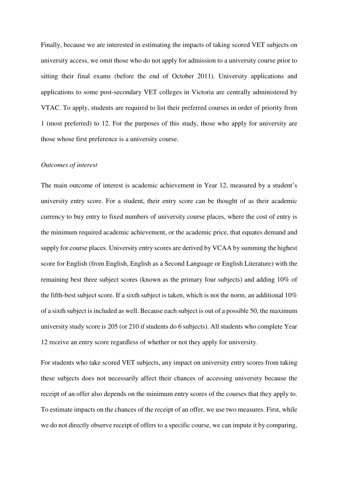Finally, because we are interested in estimating the impacts of taking scored VET subjects on university access, we omit those who do not apply for admission to a university course prior to sitting their final exams (before the end of October 2011). University applications and applications to some post-secondary VET colleges in Victoria are centrally administered by VTAC. To apply, students are required to list their preferred courses in order of priority from 1 (most preferred) to 12. For the purposes of this study, those who apply for university are those whose first preference is a university course.

#### *Outcomes of interest*

The main outcome of interest is academic achievement in Year 12, measured by a student's university entry score. For a student, their entry score can be thought of as their academic currency to buy entry to fixed numbers of university course places, where the cost of entry is the minimum required academic achievement, or the academic price, that equates demand and supply for course places. University entry scores are derived by VCAA by summing the highest score for English (from English, English as a Second Language or English Literature) with the remaining best three subject scores (known as the primary four subjects) and adding 10% of the fifth-best subject score. If a sixth subject is taken, which is not the norm, an additional 10% of a sixth subject is included as well. Because each subject is out of a possible 50, the maximum university study score is 205 (or 210 if students do 6 subjects). All students who complete Year 12 receive an entry score regardless of whether or not they apply for university.

For students who take scored VET subjects, any impact on university entry scores from taking these subjects does not necessarily affect their chances of accessing university because the receipt of an offer also depends on the minimum entry scores of the courses that they apply to. To estimate impacts on the chances of the receipt of an offer, we use two measures. First, while we do not directly observe receipt of offers to a specific course, we can impute it by comparing,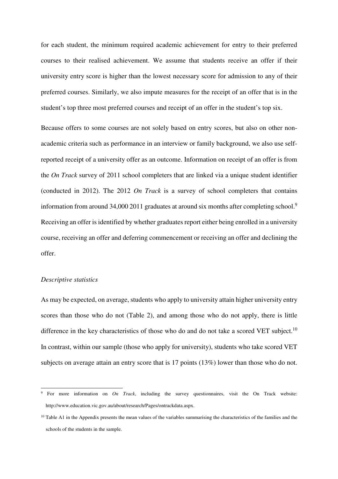for each student, the minimum required academic achievement for entry to their preferred courses to their realised achievement. We assume that students receive an offer if their university entry score is higher than the lowest necessary score for admission to any of their preferred courses. Similarly, we also impute measures for the receipt of an offer that is in the student's top three most preferred courses and receipt of an offer in the student's top six.

Because offers to some courses are not solely based on entry scores, but also on other nonacademic criteria such as performance in an interview or family background, we also use selfreported receipt of a university offer as an outcome. Information on receipt of an offer is from the *On Track* survey of 2011 school completers that are linked via a unique student identifier (conducted in 2012). The 2012 *On Track* is a survey of school completers that contains information from around 34,000 2011 graduates at around six months after completing school.<sup>9</sup> Receiving an offer is identified by whether graduates report either being enrolled in a university course, receiving an offer and deferring commencement or receiving an offer and declining the offer.

#### *Descriptive statistics*

 $\overline{a}$ 

As may be expected, on average, students who apply to university attain higher university entry scores than those who do not (Table 2), and among those who do not apply, there is little difference in the key characteristics of those who do and do not take a scored VET subject.<sup>10</sup> In contrast, within our sample (those who apply for university), students who take scored VET subjects on average attain an entry score that is 17 points (13%) lower than those who do not.

<sup>9</sup> For more information on *On Track*, including the survey questionnaires, visit the On Track website: http://www.education.vic.gov.au/about/research/Pages/ontrackdata.aspx.

 $10$  Table A1 in the Appendix presents the mean values of the variables summarising the characteristics of the families and the schools of the students in the sample.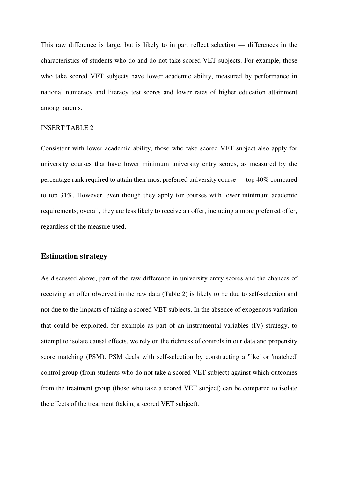This raw difference is large, but is likely to in part reflect selection — differences in the characteristics of students who do and do not take scored VET subjects. For example, those who take scored VET subjects have lower academic ability, measured by performance in national numeracy and literacy test scores and lower rates of higher education attainment among parents.

#### INSERT TABLE 2

Consistent with lower academic ability, those who take scored VET subject also apply for university courses that have lower minimum university entry scores, as measured by the percentage rank required to attain their most preferred university course — top 40% compared to top 31%. However, even though they apply for courses with lower minimum academic requirements; overall, they are less likely to receive an offer, including a more preferred offer, regardless of the measure used.

#### **Estimation strategy**

As discussed above, part of the raw difference in university entry scores and the chances of receiving an offer observed in the raw data (Table 2) is likely to be due to self-selection and not due to the impacts of taking a scored VET subjects. In the absence of exogenous variation that could be exploited, for example as part of an instrumental variables (IV) strategy, to attempt to isolate causal effects, we rely on the richness of controls in our data and propensity score matching (PSM). PSM deals with self-selection by constructing a 'like' or 'matched' control group (from students who do not take a scored VET subject) against which outcomes from the treatment group (those who take a scored VET subject) can be compared to isolate the effects of the treatment (taking a scored VET subject).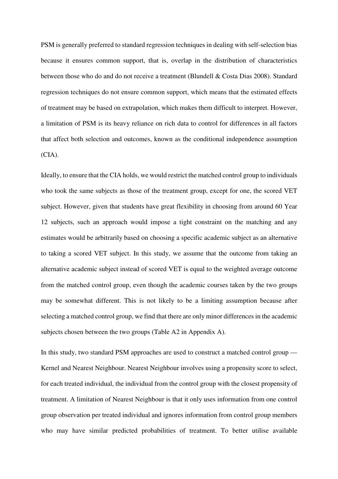PSM is generally preferred to standard regression techniques in dealing with self-selection bias because it ensures common support, that is, overlap in the distribution of characteristics between those who do and do not receive a treatment (Blundell & Costa Dias 2008). Standard regression techniques do not ensure common support, which means that the estimated effects of treatment may be based on extrapolation, which makes them difficult to interpret. However, a limitation of PSM is its heavy reliance on rich data to control for differences in all factors that affect both selection and outcomes, known as the conditional independence assumption (CIA).

Ideally, to ensure that the CIA holds, we would restrict the matched control group to individuals who took the same subjects as those of the treatment group, except for one, the scored VET subject. However, given that students have great flexibility in choosing from around 60 Year 12 subjects, such an approach would impose a tight constraint on the matching and any estimates would be arbitrarily based on choosing a specific academic subject as an alternative to taking a scored VET subject. In this study, we assume that the outcome from taking an alternative academic subject instead of scored VET is equal to the weighted average outcome from the matched control group, even though the academic courses taken by the two groups may be somewhat different. This is not likely to be a limiting assumption because after selecting a matched control group, we find that there are only minor differences in the academic subjects chosen between the two groups (Table A2 in Appendix A).

In this study, two standard PSM approaches are used to construct a matched control group — Kernel and Nearest Neighbour. Nearest Neighbour involves using a propensity score to select, for each treated individual, the individual from the control group with the closest propensity of treatment. A limitation of Nearest Neighbour is that it only uses information from one control group observation per treated individual and ignores information from control group members who may have similar predicted probabilities of treatment. To better utilise available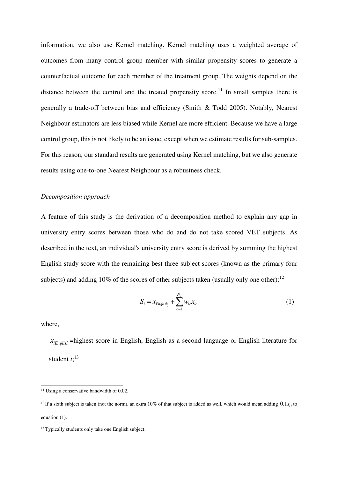information, we also use Kernel matching. Kernel matching uses a weighted average of outcomes from many control group member with similar propensity scores to generate a counterfactual outcome for each member of the treatment group. The weights depend on the distance between the control and the treated propensity score.<sup>11</sup> In small samples there is generally a trade-off between bias and efficiency (Smith & Todd 2005). Notably, Nearest Neighbour estimators are less biased while Kernel are more efficient. Because we have a large control group, this is not likely to be an issue, except when we estimate results for sub-samples. For this reason, our standard results are generated using Kernel matching, but we also generate results using one-to-one Nearest Neighbour as a robustness check.

#### *Decomposition approach*

A feature of this study is the derivation of a decomposition method to explain any gap in university entry scores between those who do and do not take scored VET subjects. As described in the text, an individual's university entry score is derived by summing the highest English study score with the remaining best three subject scores (known as the primary four subjects) and adding  $10\%$  of the scores of other subjects taken (usually only one other):<sup>12</sup>

$$
S_{i} = x_{English_{i}} + \sum_{c=1}^{N_{i}} w_{ic} x_{ic}
$$
 (1)

where,

L

 $x_{iEnolish}$  =highest score in English, English as a second language or English literature for student  $i$ <sup>13</sup>

<sup>&</sup>lt;sup>11</sup> Using a conservative bandwidth of 0.02.

<sup>&</sup>lt;sup>12</sup> If a sixth subject is taken (not the norm), an extra 10% of that subject is added as well, which would mean adding  $0.1x_{i6}$  to equation (1).

<sup>&</sup>lt;sup>13</sup> Typically students only take one English subject.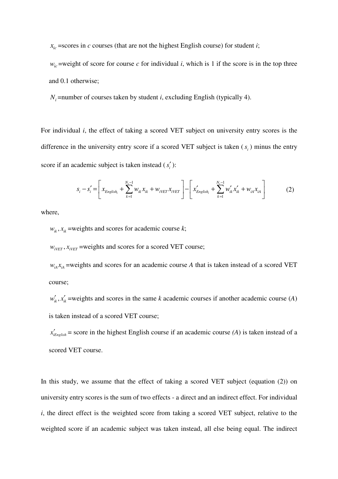$x_{ic}$  =scores in *c* courses (that are not the highest English course) for student *i*;

 $w_i$ <sup>ic</sup> =weight of score for course *c* for individual *i*, which is 1 if the score is in the top three and 0.1 otherwise;

 $N_i$  =number of courses taken by student *i*, excluding English (typically 4).

For individual *i*, the effect of taking a scored VET subject on university entry scores is the difference in the university entry score if a scored VET subject is taken  $(s<sub>i</sub>)$  minus the entry score if an academic subject is taken instead  $(s'_i)$ :

$$
s_i - s'_i = \left[ x_{English_i} + \sum_{k=1}^{N_i - 1} w_{ik} x_{ik} + w_{iVET} x_{iVET} \right] - \left[ x'_{English_i} + \sum_{k=1}^{N_i - 1} w'_{ik} x'_{ik} + w_{iA} x_{iA} \right]
$$
(2)

where,

 $w_{ik}$ ,  $x_{ik}$  =weights and scores for academic course *k*;

 $w_{iVET}$ ,  $x_{iVET}$  =weights and scores for a scored VET course;

 $w_{iA}x_{iA}$  =weights and scores for an academic course *A* that is taken instead of a scored VET course;

 $w'_k$ ,  $x'_k$  =weights and scores in the same *k* academic courses if another academic course (*A*) is taken instead of a scored VET course;

 $x'_{\text{iEnelish}}$  = score in the highest English course if an academic course *(A)* is taken instead of a scored VET course.

In this study, we assume that the effect of taking a scored VET subject (equation (2)) on university entry scores is the sum of two effects - a direct and an indirect effect. For individual *i*, the direct effect is the weighted score from taking a scored VET subject, relative to the weighted score if an academic subject was taken instead, all else being equal. The indirect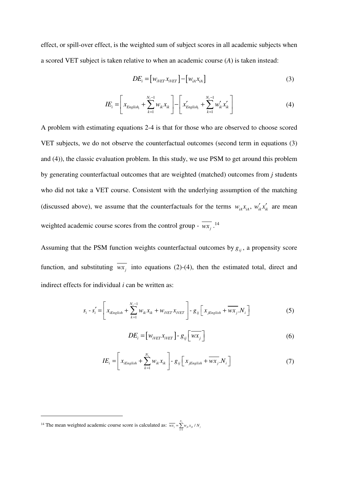effect, or spill-over effect, is the weighted sum of subject scores in all academic subjects when a scored VET subject is taken relative to when an academic course (*A*) is taken instead:

$$
DE_i = [w_{i \text{VET}} x_{i \text{VET}}] - [w_{iA} x_{iA}] \tag{3}
$$

$$
IE_i = \left[ x_{English_i} + \sum_{k=1}^{N_i - 1} w_{ik} x_{ik} \right] - \left[ x'_{English_i} + \sum_{k=1}^{N_i - 1} w'_{ik} x'_{ik} \right]
$$
(4)

A problem with estimating equations 2-4 is that for those who are observed to choose scored VET subjects, we do not observe the counterfactual outcomes (second term in equations (3) and (4)), the classic evaluation problem. In this study, we use PSM to get around this problem by generating counterfactual outcomes that are weighted (matched) outcomes from *j* students who did not take a VET course. Consistent with the underlying assumption of the matching (discussed above), we assume that the counterfactuals for the terms  $w_{iA}x_{iA}$ ,  $w'_{ik}x'_{ik}$  are mean weighted academic course scores from the control group -  $\overline{wx_j}$ .<sup>14</sup>

Assuming that the PSM function weights counterfactual outcomes by  $g_{ij}$ , a propensity score function, and substituting  $wx_j$  into equations (2)-(4), then the estimated total, direct and indirect effects for individual *i* can be written as:

$$
s_i - s_i' = \left[ x_{iEnglish} + \sum_{k=1}^{N_i - 1} w_{ik} x_{ik} + w_{iVET} x_{iVET} \right] - g_{ij} \left[ x_{jEnglish} + \overline{wx_j} . N_i \right]
$$
(5)

$$
DE_i = \left[ w_{i \text{VET}} x_{i \text{VET}} \right] - g_{ij} \left[ \overline{wx_j} \right] \tag{6}
$$

$$
IE_i = \left[ x_{iEnglish} + \sum_{k=1}^{N_i} w_{ik} x_{ik} \right] - g_{ij} \left[ x_{jEnglish} + \overline{wx_j} . N_i \right]
$$
 (7)

<sup>&</sup>lt;sup>14</sup> The mean weighted academic course score is calculated as:  $\overline{wx_j} = \sum_{k=1}^{N_j} w_{jk} x_{jk}$  $\overline{wx_j} = \sum_{k=1}^{j} w_{jk} x_{jk} / N_j$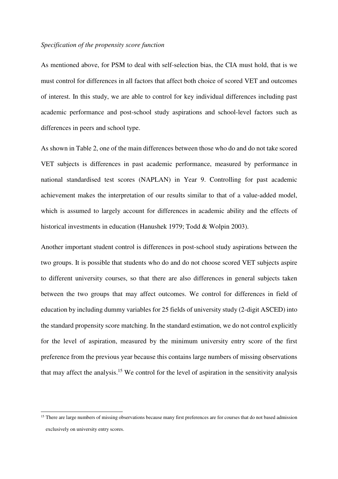#### *Specification of the propensity score function*

As mentioned above, for PSM to deal with self-selection bias, the CIA must hold, that is we must control for differences in all factors that affect both choice of scored VET and outcomes of interest. In this study, we are able to control for key individual differences including past academic performance and post-school study aspirations and school-level factors such as differences in peers and school type.

As shown in Table 2, one of the main differences between those who do and do not take scored VET subjects is differences in past academic performance, measured by performance in national standardised test scores (NAPLAN) in Year 9. Controlling for past academic achievement makes the interpretation of our results similar to that of a value-added model, which is assumed to largely account for differences in academic ability and the effects of historical investments in education (Hanushek 1979; Todd & Wolpin 2003).

Another important student control is differences in post-school study aspirations between the two groups. It is possible that students who do and do not choose scored VET subjects aspire to different university courses, so that there are also differences in general subjects taken between the two groups that may affect outcomes. We control for differences in field of education by including dummy variables for 25 fields of university study (2-digit ASCED) into the standard propensity score matching. In the standard estimation, we do not control explicitly for the level of aspiration, measured by the minimum university entry score of the first preference from the previous year because this contains large numbers of missing observations that may affect the analysis.<sup>15</sup> We control for the level of aspiration in the sensitivity analysis

<sup>&</sup>lt;sup>15</sup> There are large numbers of missing observations because many first preferences are for courses that do not based admission exclusively on university entry scores.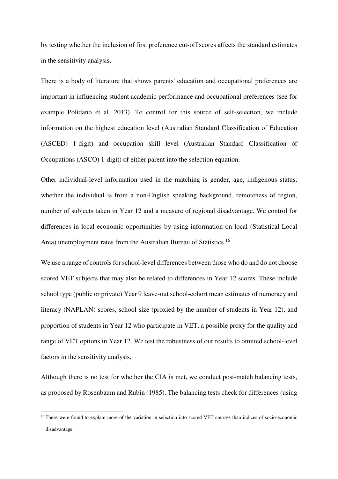by testing whether the inclusion of first preference cut-off scores affects the standard estimates in the sensitivity analysis.

There is a body of literature that shows parents' education and occupational preferences are important in influencing student academic performance and occupational preferences (see for example Polidano et al. 2013). To control for this source of self-selection, we include information on the highest education level (Australian Standard Classification of Education (ASCED) 1-digit) and occupation skill level (Australian Standard Classification of Occupations (ASCO) 1-digit) of either parent into the selection equation.

Other individual-level information used in the matching is gender, age, indigenous status, whether the individual is from a non-English speaking background, remoteness of region, number of subjects taken in Year 12 and a measure of regional disadvantage. We control for differences in local economic opportunities by using information on local (Statistical Local Area) unemployment rates from the Australian Bureau of Statistics.<sup>16</sup>

We use a range of controls for school-level differences between those who do and do not choose scored VET subjects that may also be related to differences in Year 12 scores. These include school type (public or private) Year 9 leave-out school-cohort mean estimates of numeracy and literacy (NAPLAN) scores, school size (proxied by the number of students in Year 12), and proportion of students in Year 12 who participate in VET, a possible proxy for the quality and range of VET options in Year 12. We test the robustness of our results to omitted school-level factors in the sensitivity analysis.

Although there is no test for whether the CIA is met, we conduct post-match balancing tests, as proposed by Rosenbaum and Rubin (1985). The balancing tests check for differences (using

<sup>&</sup>lt;sup>16</sup> These were found to explain more of the variation in selection into scored VET courses than indices of socio-economic disadvantage.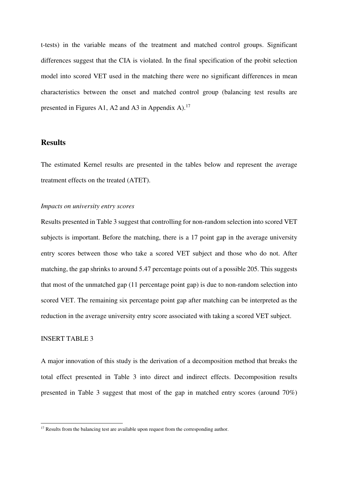t-tests) in the variable means of the treatment and matched control groups. Significant differences suggest that the CIA is violated. In the final specification of the probit selection model into scored VET used in the matching there were no significant differences in mean characteristics between the onset and matched control group (balancing test results are presented in Figures A1, A2 and A3 in Appendix A).<sup>17</sup>

#### **Results**

The estimated Kernel results are presented in the tables below and represent the average treatment effects on the treated (ATET).

#### *Impacts on university entry scores*

Results presented in Table 3 suggest that controlling for non-random selection into scored VET subjects is important. Before the matching, there is a 17 point gap in the average university entry scores between those who take a scored VET subject and those who do not. After matching, the gap shrinks to around 5.47 percentage points out of a possible 205. This suggests that most of the unmatched gap (11 percentage point gap) is due to non-random selection into scored VET. The remaining six percentage point gap after matching can be interpreted as the reduction in the average university entry score associated with taking a scored VET subject.

#### INSERT TABLE 3

 $\overline{a}$ 

A major innovation of this study is the derivation of a decomposition method that breaks the total effect presented in Table 3 into direct and indirect effects. Decomposition results presented in Table 3 suggest that most of the gap in matched entry scores (around 70%)

<sup>&</sup>lt;sup>17</sup> Results from the balancing test are available upon request from the corresponding author.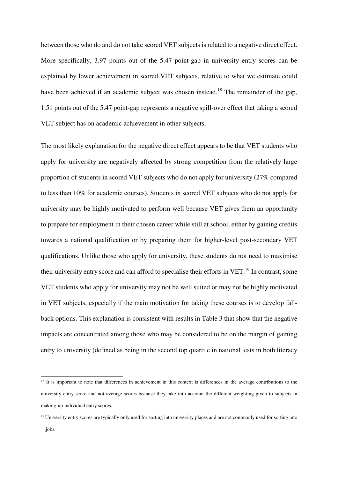between those who do and do not take scored VET subjects is related to a negative direct effect. More specifically, 3.97 points out of the 5.47 point-gap in university entry scores can be explained by lower achievement in scored VET subjects, relative to what we estimate could have been achieved if an academic subject was chosen instead.<sup>18</sup> The remainder of the gap, 1.51 points out of the 5.47 point-gap represents a negative spill-over effect that taking a scored VET subject has on academic achievement in other subjects.

The most likely explanation for the negative direct effect appears to be that VET students who apply for university are negatively affected by strong competition from the relatively large proportion of students in scored VET subjects who do not apply for university (27% compared to less than 10% for academic courses). Students in scored VET subjects who do not apply for university may be highly motivated to perform well because VET gives them an opportunity to prepare for employment in their chosen career while still at school, either by gaining credits towards a national qualification or by preparing them for higher-level post-secondary VET qualifications. Unlike those who apply for university, these students do not need to maximise their university entry score and can afford to specialise their efforts in VET.<sup>19</sup> In contrast, some VET students who apply for university may not be well suited or may not be highly motivated in VET subjects, especially if the main motivation for taking these courses is to develop fallback options. This explanation is consistent with results in Table 3 that show that the negative impacts are concentrated among those who may be considered to be on the margin of gaining entry to university (defined as being in the second top quartile in national tests in both literacy

<sup>&</sup>lt;sup>18</sup> It is important to note that differences in achievement in this context is differences in the average contributions to the university entry score and not average scores because they take into account the different weighting given to subjects in making-up individual entry scores.

<sup>&</sup>lt;sup>19</sup> University entry scores are typically only used for sorting into university places and are not commonly used for sorting into jobs.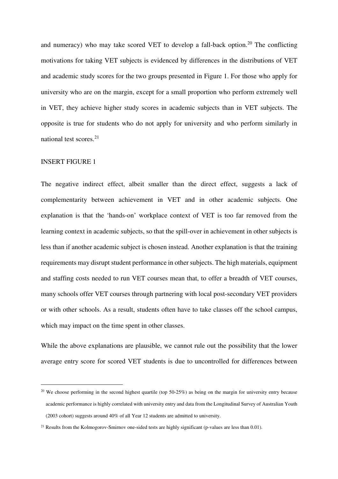and numeracy) who may take scored VET to develop a fall-back option.<sup>20</sup> The conflicting motivations for taking VET subjects is evidenced by differences in the distributions of VET and academic study scores for the two groups presented in Figure 1. For those who apply for university who are on the margin, except for a small proportion who perform extremely well in VET, they achieve higher study scores in academic subjects than in VET subjects. The opposite is true for students who do not apply for university and who perform similarly in national test scores. $2<sup>1</sup>$ 

#### INSERT FIGURE 1

 $\overline{a}$ 

The negative indirect effect, albeit smaller than the direct effect, suggests a lack of complementarity between achievement in VET and in other academic subjects. One explanation is that the 'hands-on' workplace context of VET is too far removed from the learning context in academic subjects, so that the spill-over in achievement in other subjects is less than if another academic subject is chosen instead. Another explanation is that the training requirements may disrupt student performance in other subjects. The high materials, equipment and staffing costs needed to run VET courses mean that, to offer a breadth of VET courses, many schools offer VET courses through partnering with local post-secondary VET providers or with other schools. As a result, students often have to take classes off the school campus, which may impact on the time spent in other classes.

While the above explanations are plausible, we cannot rule out the possibility that the lower average entry score for scored VET students is due to uncontrolled for differences between

<sup>&</sup>lt;sup>20</sup> We choose performing in the second highest quartile (top 50-25%) as being on the margin for university entry because academic performance is highly correlated with university entry and data from the Longitudinal Survey of Australian Youth (2003 cohort) suggests around 40% of all Year 12 students are admitted to university.

<sup>&</sup>lt;sup>21</sup> Results from the Kolmogorov-Smirnov one-sided tests are highly significant (p-values are less than 0.01).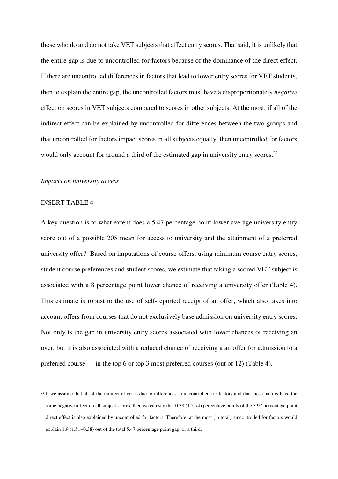those who do and do not take VET subjects that affect entry scores. That said, it is unlikely that the entire gap is due to uncontrolled for factors because of the dominance of the direct effect. If there are uncontrolled differences in factors that lead to lower entry scores for VET students, then to explain the entire gap, the uncontrolled factors must have a disproportionately *negative*  effect on scores in VET subjects compared to scores in other subjects. At the most, if all of the indirect effect can be explained by uncontrolled for differences between the two groups and that uncontrolled for factors impact scores in all subjects equally, then uncontrolled for factors would only account for around a third of the estimated gap in university entry scores.<sup>22</sup>

#### *Impacts on university access*

#### INSERT TABLE 4

 $\overline{a}$ 

A key question is to what extent does a 5.47 percentage point lower average university entry score out of a possible 205 mean for access to university and the attainment of a preferred university offer? Based on imputations of course offers, using minimum course entry scores, student course preferences and student scores, we estimate that taking a scored VET subject is associated with a 8 percentage point lower chance of receiving a university offer (Table 4). This estimate is robust to the use of self-reported receipt of an offer, which also takes into account offers from courses that do not exclusively base admission on university entry scores. Not only is the gap in university entry scores associated with lower chances of receiving an over, but it is also associated with a reduced chance of receiving a an offer for admission to a preferred course — in the top 6 or top 3 most preferred courses (out of 12) (Table 4).

 $22$  If we assume that all of the indirect effect is due to differences in uncontrolled for factors and that these factors have the same negative affect on all subject scores, then we can say that 0.38 (1.51/4) percentage points of the 3.97 percentage point direct effect is also explained by uncontrolled for factors. Therefore, at the most (in total), uncontrolled for factors would explain 1.9 (1.51+0.38) out of the total 5.47 percentage point gap, or a third.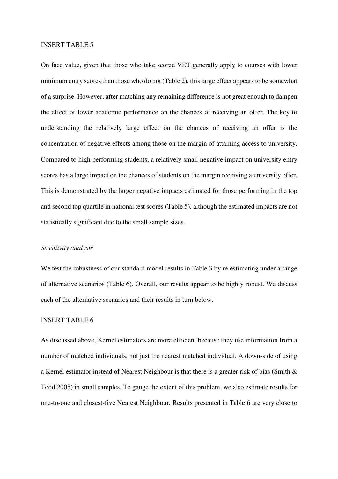#### INSERT TABLE 5

On face value, given that those who take scored VET generally apply to courses with lower minimum entry scores than those who do not (Table 2), this large effect appears to be somewhat of a surprise. However, after matching any remaining difference is not great enough to dampen the effect of lower academic performance on the chances of receiving an offer. The key to understanding the relatively large effect on the chances of receiving an offer is the concentration of negative effects among those on the margin of attaining access to university. Compared to high performing students, a relatively small negative impact on university entry scores has a large impact on the chances of students on the margin receiving a university offer. This is demonstrated by the larger negative impacts estimated for those performing in the top and second top quartile in national test scores (Table 5), although the estimated impacts are not statistically significant due to the small sample sizes.

#### *Sensitivity analysis*

We test the robustness of our standard model results in Table 3 by re-estimating under a range of alternative scenarios (Table 6). Overall, our results appear to be highly robust. We discuss each of the alternative scenarios and their results in turn below.

#### INSERT TABLE 6

As discussed above, Kernel estimators are more efficient because they use information from a number of matched individuals, not just the nearest matched individual. A down-side of using a Kernel estimator instead of Nearest Neighbour is that there is a greater risk of bias (Smith & Todd 2005) in small samples. To gauge the extent of this problem, we also estimate results for one-to-one and closest-five Nearest Neighbour. Results presented in Table 6 are very close to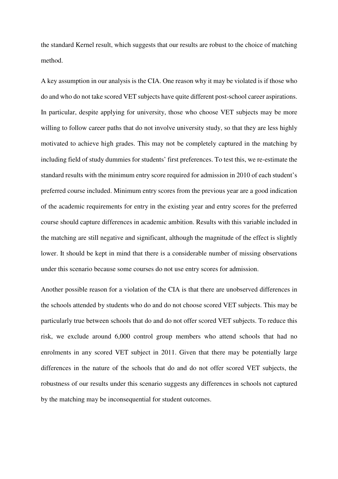the standard Kernel result, which suggests that our results are robust to the choice of matching method.

A key assumption in our analysis is the CIA. One reason why it may be violated is if those who do and who do not take scored VET subjects have quite different post-school career aspirations. In particular, despite applying for university, those who choose VET subjects may be more willing to follow career paths that do not involve university study, so that they are less highly motivated to achieve high grades. This may not be completely captured in the matching by including field of study dummies for students' first preferences. To test this, we re-estimate the standard results with the minimum entry score required for admission in 2010 of each student's preferred course included. Minimum entry scores from the previous year are a good indication of the academic requirements for entry in the existing year and entry scores for the preferred course should capture differences in academic ambition. Results with this variable included in the matching are still negative and significant, although the magnitude of the effect is slightly lower. It should be kept in mind that there is a considerable number of missing observations under this scenario because some courses do not use entry scores for admission.

Another possible reason for a violation of the CIA is that there are unobserved differences in the schools attended by students who do and do not choose scored VET subjects. This may be particularly true between schools that do and do not offer scored VET subjects. To reduce this risk, we exclude around 6,000 control group members who attend schools that had no enrolments in any scored VET subject in 2011. Given that there may be potentially large differences in the nature of the schools that do and do not offer scored VET subjects, the robustness of our results under this scenario suggests any differences in schools not captured by the matching may be inconsequential for student outcomes.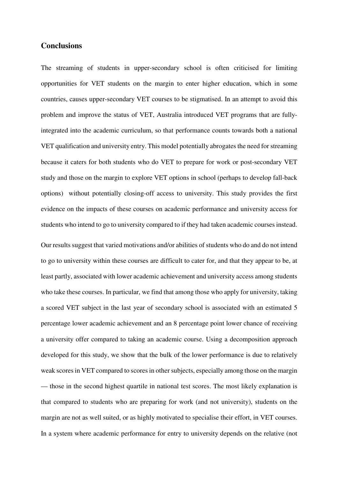#### **Conclusions**

The streaming of students in upper-secondary school is often criticised for limiting opportunities for VET students on the margin to enter higher education, which in some countries, causes upper-secondary VET courses to be stigmatised. In an attempt to avoid this problem and improve the status of VET, Australia introduced VET programs that are fullyintegrated into the academic curriculum, so that performance counts towards both a national VET qualification and university entry. This model potentially abrogates the need for streaming because it caters for both students who do VET to prepare for work or post-secondary VET study and those on the margin to explore VET options in school (perhaps to develop fall-back options) without potentially closing-off access to university. This study provides the first evidence on the impacts of these courses on academic performance and university access for students who intend to go to university compared to if they had taken academic courses instead.

Our results suggest that varied motivations and/or abilities of students who do and do not intend to go to university within these courses are difficult to cater for, and that they appear to be, at least partly, associated with lower academic achievement and university access among students who take these courses. In particular, we find that among those who apply for university, taking a scored VET subject in the last year of secondary school is associated with an estimated 5 percentage lower academic achievement and an 8 percentage point lower chance of receiving a university offer compared to taking an academic course. Using a decomposition approach developed for this study, we show that the bulk of the lower performance is due to relatively weak scores in VET compared to scores in other subjects, especially among those on the margin — those in the second highest quartile in national test scores. The most likely explanation is that compared to students who are preparing for work (and not university), students on the margin are not as well suited, or as highly motivated to specialise their effort, in VET courses. In a system where academic performance for entry to university depends on the relative (not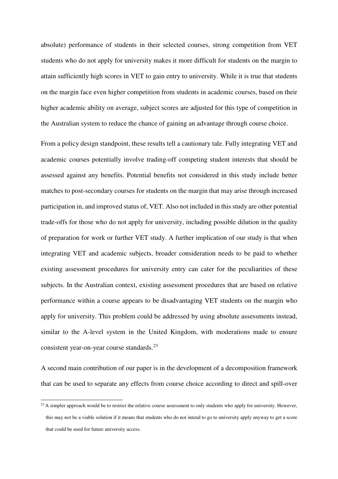absolute) performance of students in their selected courses, strong competition from VET students who do not apply for university makes it more difficult for students on the margin to attain sufficiently high scores in VET to gain entry to university. While it is true that students on the margin face even higher competition from students in academic courses, based on their higher academic ability on average, subject scores are adjusted for this type of competition in the Australian system to reduce the chance of gaining an advantage through course choice.

From a policy design standpoint, these results tell a cautionary tale. Fully integrating VET and academic courses potentially involve trading-off competing student interests that should be assessed against any benefits. Potential benefits not considered in this study include better matches to post-secondary courses for students on the margin that may arise through increased participation in, and improved status of, VET. Also not included in this study are other potential trade-offs for those who do not apply for university, including possible dilution in the quality of preparation for work or further VET study. A further implication of our study is that when integrating VET and academic subjects, broader consideration needs to be paid to whether existing assessment procedures for university entry can cater for the peculiarities of these subjects. In the Australian context, existing assessment procedures that are based on relative performance within a course appears to be disadvantaging VET students on the margin who apply for university. This problem could be addressed by using absolute assessments instead, similar to the A-level system in the United Kingdom, with moderations made to ensure consistent year-on-year course standards.<sup>23</sup>

A second main contribution of our paper is in the development of a decomposition framework that can be used to separate any effects from course choice according to direct and spill-over

<sup>&</sup>lt;sup>23</sup> A simpler approach would be to restrict the relative course assessment to only students who apply for university. However, this may not be a viable solution if it means that students who do not intend to go to university apply anyway to get a score that could be used for future university access.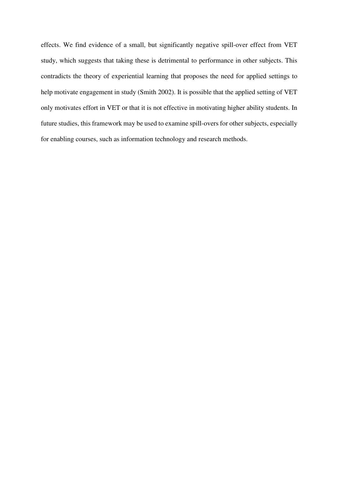effects. We find evidence of a small, but significantly negative spill-over effect from VET study, which suggests that taking these is detrimental to performance in other subjects. This contradicts the theory of experiential learning that proposes the need for applied settings to help motivate engagement in study (Smith 2002). It is possible that the applied setting of VET only motivates effort in VET or that it is not effective in motivating higher ability students. In future studies, this framework may be used to examine spill-overs for other subjects, especially for enabling courses, such as information technology and research methods.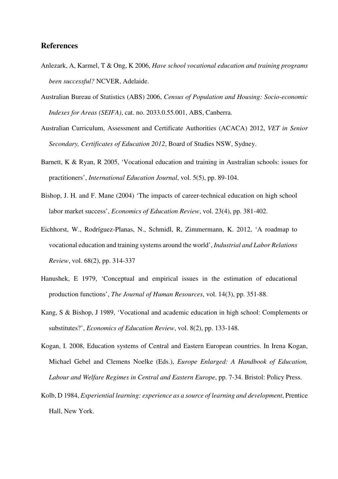#### **References**

- Anlezark, A, Karmel, T & Ong, K 2006, *Have school vocational education and training programs been successful?* NCVER, Adelaide.
- Australian Bureau of Statistics (ABS) 2006, *Census of Population and Housing: Socio-economic Indexes for Areas (SEIFA)*, cat. no. 2033.0.55.001, ABS, Canberra.
- Australian Curriculum, Assessment and Certificate Authorities (ACACA) 2012, *VET in Senior Secondary, Certificates of Education 2012*, Board of Studies NSW, Sydney.
- Barnett, K & Ryan, R 2005, 'Vocational education and training in Australian schools: issues for practitioners', *International Education Journal*, vol. 5(5), pp. 89-104.
- Bishop, J. H. and F. Mane (2004) 'The impacts of career-technical education on high school labor market success', *Economics of Education Review*, vol. 23(4), pp. 381-402.
- Eichhorst, W., Rodríguez-Planas, N., Schmidl, R, Zimmermann, K. 2012, 'A roadmap to vocational education and training systems around the world', *Industrial and Labor Relations Review*, vol. 68(2), pp. 314-337
- Hanushek, E 1979, 'Conceptual and empirical issues in the estimation of educational production functions', *The Journal of Human Resources*, vol. 14(3), pp. 351-88.
- Kang, S & Bishop, J 1989, 'Vocational and academic education in high school: Complements or substitutes?', *Economics of Education Review*, vol. 8(2), pp. 133-148.
- Kogan, I. 2008, Education systems of Central and Eastern European countries. In Irena Kogan, Michael Gebel and Clemens Noelke (Eds.), *Europe Enlarged: A Handbook of Education, Labour and Welfare Regimes in Central and Eastern Europe*, pp. 7-34. Bristol: Policy Press.
- Kolb, D 1984, *Experiential learning: experience as a source of learning and development*, Prentice Hall, New York.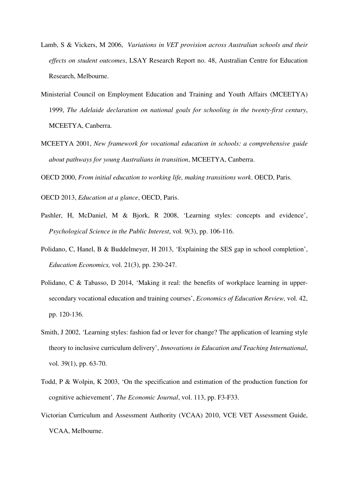- Lamb, S & Vickers, M 2006, *Variations in VET provision across Australian schools and their effects on student outcomes*, LSAY Research Report no. 48, Australian Centre for Education Research, Melbourne.
- Ministerial Council on Employment Education and Training and Youth Affairs (MCEETYA) 1999, *The Adelaide declaration on national goals for schooling in the twenty-first century*, MCEETYA, Canberra.
- MCEETYA 2001, *New framework for vocational education in schools: a comprehensive guide about pathways for young Australians in transition*, MCEETYA, Canberra.

OECD 2000, *From initial education to working life, making transitions work*. OECD, Paris.

OECD 2013, *Education at a glance*, OECD, Paris.

- Pashler, H, McDaniel, M & Bjork, R 2008, 'Learning styles: concepts and evidence', *Psychological Science in the Public Interest*, vol. 9(3), pp. 106-116.
- Polidano, C, Hanel, B & Buddelmeyer, H 2013, 'Explaining the SES gap in school completion', *Education Economics,* vol. 21(3), pp. 230-247.
- Polidano, C & Tabasso, D 2014, 'Making it real: the benefits of workplace learning in uppersecondary vocational education and training courses', *Economics of Education Review,* vol. 42, pp. 120-136.
- Smith, J 2002, 'Learning styles: fashion fad or lever for change? The application of learning style theory to inclusive curriculum delivery', *Innovations in Education and Teaching International*, vol. 39(1), pp. 63-70.
- Todd, P & Wolpin, K 2003, 'On the specification and estimation of the production function for cognitive achievement', *The Economic Journal*, vol. 113, pp. F3-F33.
- Victorian Curriculum and Assessment Authority (VCAA) 2010, VCE VET Assessment Guide, VCAA, Melbourne.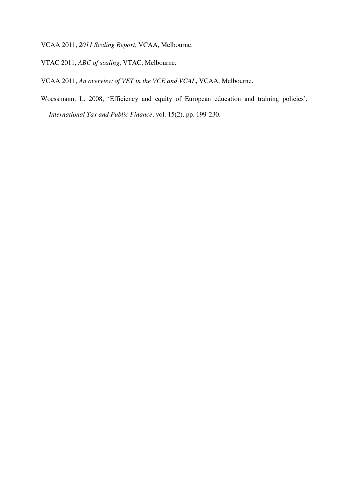VCAA 2011, *2011 Scaling Report*, VCAA, Melbourne.

VTAC 2011, *ABC of scaling*, VTAC, Melbourne.

VCAA 2011, *An overview of VET in the VCE and VCAL*, VCAA, Melbourne.

Woessmann, L. 2008, 'Efficiency and equity of European education and training policies', *International Tax and Public Finance*, vol. 15(2), pp. 199-230.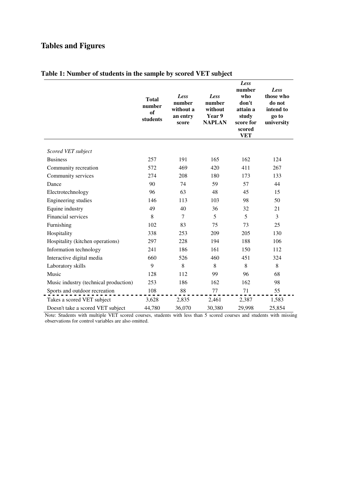# **Tables and Figures**

|                                       | <b>Total</b><br>number<br>of<br>students | Less<br>number<br>without a<br>an entry<br>score | Less<br>number<br>without<br>Year 9<br><b>NAPLAN</b> | Less<br>number<br>who<br>don't<br>attain a<br>study<br>score for<br>scored<br><b>VET</b> | Less<br>those who<br>do not<br>intend to<br>go to<br>university |
|---------------------------------------|------------------------------------------|--------------------------------------------------|------------------------------------------------------|------------------------------------------------------------------------------------------|-----------------------------------------------------------------|
| Scored VET subject                    |                                          |                                                  |                                                      |                                                                                          |                                                                 |
| <b>Business</b>                       | 257                                      | 191                                              | 165                                                  | 162                                                                                      | 124                                                             |
| Community recreation                  | 572                                      | 469                                              | 420                                                  | 411                                                                                      | 267                                                             |
| Community services                    | 274                                      | 208                                              | 180                                                  | 173                                                                                      | 133                                                             |
| Dance                                 | 90                                       | 74                                               | 59                                                   | 57                                                                                       | 44                                                              |
| Electrotechnology                     | 96                                       | 63                                               | 48                                                   | 45                                                                                       | 15                                                              |
| Engineering studies                   | 146                                      | 113                                              | 103                                                  | 98                                                                                       | 50                                                              |
| Equine industry                       | 49                                       | 40                                               | 36                                                   | 32                                                                                       | 21                                                              |
| Financial services                    | 8                                        | 7                                                | 5                                                    | 5                                                                                        | $\overline{3}$                                                  |
| Furnishing                            | 102                                      | 83                                               | 75                                                   | 73                                                                                       | 25                                                              |
| Hospitality                           | 338                                      | 253                                              | 209                                                  | 205                                                                                      | 130                                                             |
| Hospitality (kitchen operations)      | 297                                      | 228                                              | 194                                                  | 188                                                                                      | 106                                                             |
| Information technology                | 241                                      | 186                                              | 161                                                  | 150                                                                                      | 112                                                             |
| Interactive digital media             | 660                                      | 526                                              | 460                                                  | 451                                                                                      | 324                                                             |
| Laboratory skills                     | 9                                        | 8                                                | 8                                                    | 8                                                                                        | 8                                                               |
| Music                                 | 128                                      | 112                                              | 99                                                   | 96                                                                                       | 68                                                              |
| Music industry (technical production) | 253                                      | 186                                              | 162                                                  | 162                                                                                      | 98                                                              |
| Sports and outdoor recreation         | 108                                      | 88                                               | 77                                                   | 71                                                                                       | 55                                                              |
| Takes a scored VET subject            | 3,628                                    | 2,835                                            | 2,461                                                | 2,387                                                                                    | 1,583                                                           |
| Doesn't take a scored VET subject     | 44,780                                   | 36,070                                           | 30,380                                               | 29,998                                                                                   | 25,854                                                          |

### **Table 1: Number of students in the sample by scored VET subject**

Note: Students with multiple VET scored courses, students with less than 5 scored courses and students with missing observations for control variables are also omitted.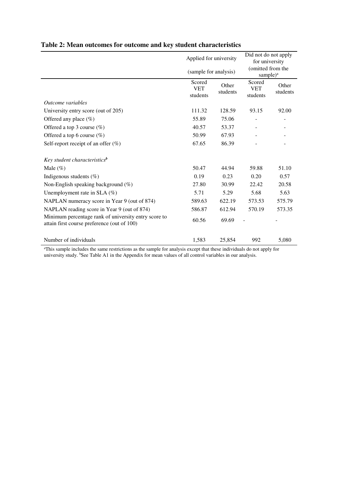|                                                                                                     | Applied for university           |                   | Did not do not apply<br>for university    |                   |
|-----------------------------------------------------------------------------------------------------|----------------------------------|-------------------|-------------------------------------------|-------------------|
|                                                                                                     | (sample for analysis)            |                   | (omitted from the<br>sample) <sup>a</sup> |                   |
|                                                                                                     | Scored<br><b>VET</b><br>students | Other<br>students | Scored<br><b>VET</b><br>students          | Other<br>students |
| Outcome variables                                                                                   |                                  |                   |                                           |                   |
| University entry score (out of 205)                                                                 | 111.32                           | 128.59            | 93.15                                     | 92.00             |
| Offered any place $(\%)$                                                                            | 55.89                            | 75.06             |                                           |                   |
| Offered a top 3 course $(\%)$                                                                       | 40.57                            | 53.37             |                                           |                   |
| Offered a top 6 course $(\%)$                                                                       | 50.99                            | 67.93             |                                           |                   |
| Self-report receipt of an offer $(\%)$                                                              | 67.65                            | 86.39             |                                           |                   |
| Key student characteristics <sup>b</sup>                                                            |                                  |                   |                                           |                   |
| Male $(\%)$                                                                                         | 50.47                            | 44.94             | 59.88                                     | 51.10             |
| Indigenous students $(\%)$                                                                          | 0.19                             | 0.23              | 0.20                                      | 0.57              |
| Non-English speaking background $(\%)$                                                              | 27.80                            | 30.99             | 22.42                                     | 20.58             |
| Unemployment rate in $SLA$ (%)                                                                      | 5.71                             | 5.29              | 5.68                                      | 5.63              |
| NAPLAN numeracy score in Year 9 (out of 874)                                                        | 589.63                           | 622.19            | 573.53                                    | 575.79            |
| NAPLAN reading score in Year 9 (out of 874)                                                         | 586.87                           | 612.94            | 570.19                                    | 573.35            |
| Minimum percentage rank of university entry score to<br>attain first course preference (out of 100) | 60.56                            | 69.69             |                                           |                   |
| Number of individuals                                                                               | 1,583                            | 25,854            | 992                                       | 5,080             |

### **Table 2: Mean outcomes for outcome and key student characteristics**

<sup>a</sup>This sample includes the same restrictions as the sample for analysis except that these individuals do not apply for university study. <sup>b</sup>See Table A1 in the Appendix for mean values of all control variables in our analysis.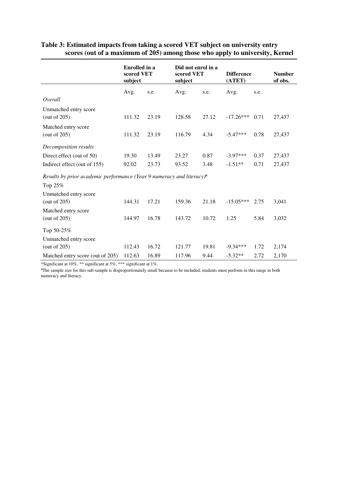|                                                                               | <b>Enrolled</b> in a<br>scored VET<br>subject |       | Did not enrol in a<br>scored VET<br><b>Difference</b><br>(ATET)<br>subject |       |             | <b>Number</b><br>of obs. |        |
|-------------------------------------------------------------------------------|-----------------------------------------------|-------|----------------------------------------------------------------------------|-------|-------------|--------------------------|--------|
|                                                                               | Avg.                                          | s.e.  | Avg.                                                                       | s.e.  | Avg.        | s.e.                     |        |
| Overall                                                                       |                                               |       |                                                                            |       |             |                          |        |
| Unmatched entry score                                                         |                                               |       |                                                                            |       |             |                          |        |
| (out of 205)                                                                  | 111.32                                        | 23.19 | 128.58                                                                     | 27.12 | $-17.26***$ | 0.71                     | 27,437 |
| Matched entry score                                                           |                                               |       |                                                                            |       |             |                          |        |
| (out of $205$ )                                                               | 111.32                                        | 23.19 | 116.79                                                                     | 4.34  | $-5.47***$  | 0.78                     | 27,437 |
| Decomposition results                                                         |                                               |       |                                                                            |       |             |                          |        |
| Direct effect (out of 50)                                                     | 19.30                                         | 13.49 | 23.27                                                                      | 0.87  | $-3.97***$  | 0.37                     | 27,437 |
| Indirect effect (out of 155)                                                  | 92.02                                         | 23.73 | 93.52                                                                      | 3.48  | $-1.51**$   | 0.71                     | 27,437 |
| Results by prior academic performance (Year 9 numeracy and literacy) $\alpha$ |                                               |       |                                                                            |       |             |                          |        |
| Top 25%                                                                       |                                               |       |                                                                            |       |             |                          |        |
| Unmatched entry score                                                         |                                               |       |                                                                            |       |             |                          |        |
| (out of $205$ )                                                               | 144.31                                        | 17.21 | 159.36                                                                     | 21.18 | $-15.05***$ | 2.75                     | 3,041  |
| Matched entry score                                                           |                                               |       |                                                                            |       |             |                          |        |
| (out of 205)                                                                  | 144.97                                        | 16.78 | 143.72                                                                     | 10.72 | 1.25        | 5.84                     | 3,032  |
| Top 50-25%                                                                    |                                               |       |                                                                            |       |             |                          |        |
| Unmatched entry score                                                         |                                               |       |                                                                            |       |             |                          |        |
| (out of 205)                                                                  | 112.43                                        | 16.72 | 121.77                                                                     | 19.81 | $-9.34***$  | 1.72                     | 2,174  |
| Matched entry score (out of 205)                                              | 112.63                                        | 16.89 | 117.96                                                                     | 9.44  | $-5.32**$   | 2.72                     | 2,170  |

#### **Table 3: Estimated impacts from taking a scored VET subject on university entry scores (out of a maximum of 205) among those who apply to university, Kernel**

\*Significant at 10%, \*\* significant at 5%, \*\*\* significant at 1%.

<sup>a</sup>The sample size for this sub-sample is disproportionately small because to be included, students must perform in this range in both numeracy and literacy.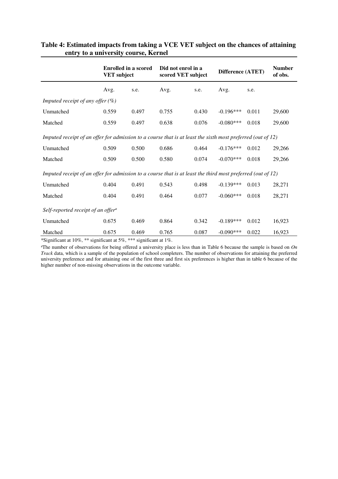|                                                                                                                | <b>Enrolled in a scored</b><br><b>VET</b> subject |       | Did not enrol in a<br>scored VET subject |       | Difference (ATET) |       | <b>Number</b><br>of obs. |
|----------------------------------------------------------------------------------------------------------------|---------------------------------------------------|-------|------------------------------------------|-------|-------------------|-------|--------------------------|
|                                                                                                                | Avg.                                              | s.e.  | Avg.                                     | s.e.  | Avg.              | s.e.  |                          |
| Imputed receipt of any offer $(\%)$                                                                            |                                                   |       |                                          |       |                   |       |                          |
| Unmatched                                                                                                      | 0.559                                             | 0.497 | 0.755                                    | 0.430 | $-0.196***$       | 0.011 | 29,600                   |
| Matched                                                                                                        | 0.559                                             | 0.497 | 0.638                                    | 0.076 | $-0.080***$       | 0.018 | 29,600                   |
| Imputed receipt of an offer for admission to a course that is at least the sixth most preferred (out of $12$ ) |                                                   |       |                                          |       |                   |       |                          |
| Unmatched                                                                                                      | 0.509                                             | 0.500 | 0.686                                    | 0.464 | $-0.176***$       | 0.012 | 29,266                   |
| Matched                                                                                                        | 0.509                                             | 0.500 | 0.580                                    | 0.074 | $-0.070***$       | 0.018 | 29,266                   |
| Imputed receipt of an offer for admission to a course that is at least the third most preferred (out of $12$ ) |                                                   |       |                                          |       |                   |       |                          |
| Unmatched                                                                                                      | 0.404                                             | 0.491 | 0.543                                    | 0.498 | $-0.139***$       | 0.013 | 28,271                   |
| Matched                                                                                                        | 0.404                                             | 0.491 | 0.464                                    | 0.077 | $-0.060***$       | 0.018 | 28,271                   |
| Self-reported receipt of an offer <sup>a</sup>                                                                 |                                                   |       |                                          |       |                   |       |                          |
| Unmatched                                                                                                      | 0.675                                             | 0.469 | 0.864                                    | 0.342 | $-0.189***$       | 0.012 | 16,923                   |
| Matched                                                                                                        | 0.675                                             | 0.469 | 0.765                                    | 0.087 | $-0.090***$       | 0.022 | 16,923                   |

#### **Table 4: Estimated impacts from taking a VCE VET subject on the chances of attaining entry to a university course, Kernel**

\*Significant at 10%, \*\* significant at 5%, \*\*\* significant at 1%.

 $^{\text{a}}$ The number of observations for being offered a university place is less than in Table 6 because the sample is based on  $On$ *Track* data, which is a sample of the population of school completers. The number of observations for attaining the preferred university preference and for attaining one of the first three and first six preferences is higher than in table 6 because of the higher number of non-missing observations in the outcome variable.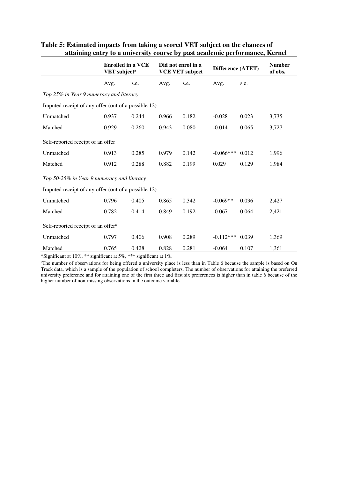|                                                     |       | <b>Enrolled in a VCE</b><br>Did not enrol in a<br>VET subject <sup>a</sup><br><b>VCE VET subject</b> |       | Difference (ATET) |             | <b>Number</b><br>of obs. |       |
|-----------------------------------------------------|-------|------------------------------------------------------------------------------------------------------|-------|-------------------|-------------|--------------------------|-------|
|                                                     | Avg.  | s.e.                                                                                                 | Avg.  | s.e.              | Avg.        | s.e.                     |       |
| Top 25% in Year 9 numeracy and literacy             |       |                                                                                                      |       |                   |             |                          |       |
| Imputed receipt of any offer (out of a possible 12) |       |                                                                                                      |       |                   |             |                          |       |
| Unmatched                                           | 0.937 | 0.244                                                                                                | 0.966 | 0.182             | $-0.028$    | 0.023                    | 3,735 |
| Matched                                             | 0.929 | 0.260                                                                                                | 0.943 | 0.080             | $-0.014$    | 0.065                    | 3,727 |
| Self-reported receipt of an offer                   |       |                                                                                                      |       |                   |             |                          |       |
| Unmatched                                           | 0.913 | 0.285                                                                                                | 0.979 | 0.142             | $-0.066***$ | 0.012                    | 1,996 |
| Matched                                             | 0.912 | 0.288                                                                                                | 0.882 | 0.199             | 0.029       | 0.129                    | 1,984 |
| Top 50-25% in Year 9 numeracy and literacy          |       |                                                                                                      |       |                   |             |                          |       |
| Imputed receipt of any offer (out of a possible 12) |       |                                                                                                      |       |                   |             |                          |       |
| Unmatched                                           | 0.796 | 0.405                                                                                                | 0.865 | 0.342             | $-0.069**$  | 0.036                    | 2,427 |
| Matched                                             | 0.782 | 0.414                                                                                                | 0.849 | 0.192             | $-0.067$    | 0.064                    | 2,421 |
| Self-reported receipt of an offer <sup>a</sup>      |       |                                                                                                      |       |                   |             |                          |       |
| Unmatched                                           | 0.797 | 0.406                                                                                                | 0.908 | 0.289             | $-0.112***$ | 0.039                    | 1,369 |
| Matched                                             | 0.765 | 0.428                                                                                                | 0.828 | 0.281             | $-0.064$    | 0.107                    | 1,361 |

#### **Table 5: Estimated impacts from taking a scored VET subject on the chances of attaining entry to a university course by past academic performance, Kernel**

\*Significant at 10%, \*\* significant at 5%, \*\*\* significant at 1%.

<sup>a</sup>The number of observations for being offered a university place is less than in Table 6 because the sample is based on On Track data, which is a sample of the population of school completers. The number of observations for attaining the preferred university preference and for attaining one of the first three and first six preferences is higher than in table 6 because of the higher number of non-missing observations in the outcome variable.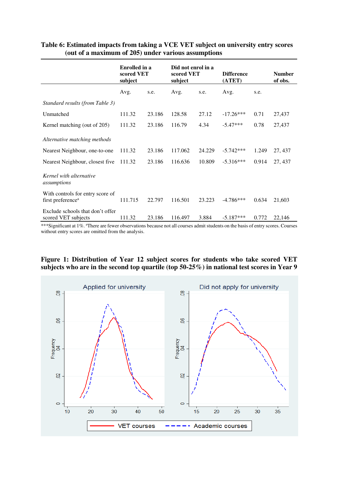|                                                                   | <b>Enrolled</b> in a<br>scored VET<br>subject |        | Did not enrol in a<br>scored VET<br>subject |        | <b>Difference</b><br>(ATET) |       | <b>Number</b><br>of obs. |
|-------------------------------------------------------------------|-----------------------------------------------|--------|---------------------------------------------|--------|-----------------------------|-------|--------------------------|
|                                                                   | Avg.                                          | s.e.   | Avg.                                        | s.e.   | Avg.                        | s.e.  |                          |
| Standard results (from Table 3)                                   |                                               |        |                                             |        |                             |       |                          |
| Unmatched                                                         | 111.32                                        | 23.186 | 128.58                                      | 27.12  | $-17.26***$                 | 0.71  | 27,437                   |
| Kernel matching (out of 205)                                      | 111.32                                        | 23.186 | 116.79                                      | 4.34   | $-5.47***$                  | 0.78  | 27,437                   |
| Alternative matching methods                                      |                                               |        |                                             |        |                             |       |                          |
| Nearest Neighbour, one-to-one                                     | 111.32                                        | 23.186 | 117.062                                     | 24.229 | $-5.742***$                 | 1.249 | 27, 437                  |
| Nearest Neighbour, closest five                                   | 111.32                                        | 23.186 | 116.636                                     | 10.809 | $-5.316***$                 | 0.914 | 27, 437                  |
| Kernel with alternative<br>assumptions                            |                                               |        |                                             |        |                             |       |                          |
| With controls for entry score of<br>first preference <sup>a</sup> | 111.715                                       | 22.797 | 116.501                                     | 23.223 | $-4.786***$                 | 0.634 | 21,603                   |
| Exclude schools that don't offer<br>scored VET subjects           | 111.32                                        | 23.186 | 116.497                                     | 3.884  | $-5.187***$                 | 0.772 | 22,146                   |

#### **Table 6: Estimated impacts from taking a VCE VET subject on university entry scores (out of a maximum of 205) under various assumptions**

\*\*\*Significant at 1%. <sup>a</sup>There are fewer observations because not all courses admit students on the basis of entry scores. Courses without entry scores are omitted from the analysis.



#### **Figure 1: Distribution of Year 12 subject scores for students who take scored VET subjects who are in the second top quartile (top 50-25%) in national test scores in Year 9**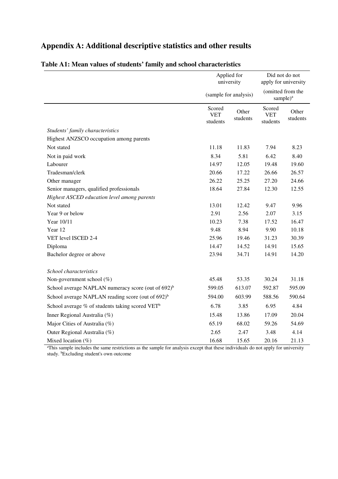# **Appendix A: Additional descriptive statistics and other results**

|                                                                | Applied for<br>university        |                       | Did not do not<br>apply for university    |                   |
|----------------------------------------------------------------|----------------------------------|-----------------------|-------------------------------------------|-------------------|
|                                                                |                                  | (sample for analysis) | (omitted from the<br>sample) <sup>a</sup> |                   |
|                                                                | Scored<br><b>VET</b><br>students | Other<br>students     | Scored<br><b>VET</b><br>students          | Other<br>students |
| Students' family characteristics                               |                                  |                       |                                           |                   |
| Highest ANZSCO occupation among parents                        |                                  |                       |                                           |                   |
| Not stated                                                     | 11.18                            | 11.83                 | 7.94                                      | 8.23              |
| Not in paid work                                               | 8.34                             | 5.81                  | 6.42                                      | 8.40              |
| Labourer                                                       | 14.97                            | 12.05                 | 19.48                                     | 19.60             |
| Tradesman/clerk                                                | 20.66                            | 17.22                 | 26.66                                     | 26.57             |
| Other manager                                                  | 26.22                            | 25.25                 | 27.20                                     | 24.66             |
| Senior managers, qualified professionals                       | 18.64                            | 27.84                 | 12.30                                     | 12.55             |
| Highest ASCED education level among parents                    |                                  |                       |                                           |                   |
| Not stated                                                     | 13.01                            | 12.42                 | 9.47                                      | 9.96              |
| Year 9 or below                                                | 2.91                             | 2.56                  | 2.07                                      | 3.15              |
| Year 10/11                                                     | 10.23                            | 7.38                  | 17.52                                     | 16.47             |
| Year 12                                                        | 9.48                             | 8.94                  | 9.90                                      | 10.18             |
| VET level ISCED 2-4                                            | 25.96                            | 19.46                 | 31.23                                     | 30.39             |
| Diploma                                                        | 14.47                            | 14.52                 | 14.91                                     | 15.65             |
| Bachelor degree or above                                       | 23.94                            | 34.71                 | 14.91                                     | 14.20             |
| School characteristics                                         |                                  |                       |                                           |                   |
| Non-government school $(\%)$                                   | 45.48                            | 53.35                 | 30.24                                     | 31.18             |
| School average NAPLAN numeracy score (out of 692) <sup>b</sup> | 599.05                           | 613.07                | 592.87                                    | 595.09            |
| School average NAPLAN reading score (out of 692) <sup>b</sup>  | 594.00                           | 603.99                | 588.56                                    | 590.64            |
| School average % of students taking scored VET <sup>b</sup>    | 6.78                             | 3.85                  | 6.95                                      | 4.84              |
| Inner Regional Australia (%)                                   | 15.48                            | 13.86                 | 17.09                                     | 20.04             |
| Major Cities of Australia (%)                                  | 65.19                            | 68.02                 | 59.26                                     | 54.69             |
| Outer Regional Australia (%)                                   | 2.65                             | 2.47                  | 3.48                                      | 4.14              |
| Mixed location (%)                                             | 16.68                            | 15.65                 | 20.16                                     | 21.13             |

### **Table A1: Mean values of students' family and school characteristics**

<sup>a</sup>This sample includes the same restrictions as the sample for analysis except that these individuals do not apply for university study. <sup>b</sup>Excluding student's own outcome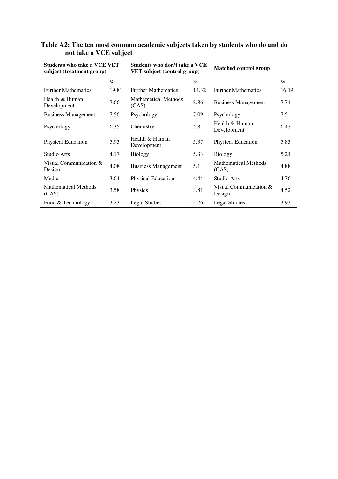| $\frac{1}{2}$                                                   |       |                                                                     |       |                                      |       |  |  |
|-----------------------------------------------------------------|-------|---------------------------------------------------------------------|-------|--------------------------------------|-------|--|--|
| <b>Students who take a VCE VET</b><br>subject (treatment group) |       | Students who don't take a VCE<br><b>VET</b> subject (control group) |       | <b>Matched control group</b>         |       |  |  |
|                                                                 | $\%$  |                                                                     | $\%$  |                                      | $\%$  |  |  |
| <b>Further Mathematics</b>                                      | 19.81 | <b>Further Mathematics</b>                                          | 14.32 | <b>Further Mathematics</b>           | 16.19 |  |  |
| Health & Human<br>Development                                   | 7.66  | <b>Mathematical Methods</b><br>(CAS)                                | 8.86  | <b>Business Management</b>           | 7.74  |  |  |
| <b>Business Management</b>                                      | 7.56  | Psychology                                                          | 7.09  | Psychology                           | 7.5   |  |  |
| Psychology                                                      | 6.35  | Chemistry                                                           | 5.8   | Health & Human<br>Development        | 6.43  |  |  |
| Physical Education                                              | 5.93  | Health & Human<br>Development                                       | 5.37  | Physical Education                   | 5.83  |  |  |
| Studio Arts                                                     | 4.17  | <b>Biology</b>                                                      | 5.33  | <b>Biology</b>                       | 5.24  |  |  |
| Visual Communication &<br>Design                                | 4.08  | <b>Business Management</b>                                          | 5.1   | <b>Mathematical Methods</b><br>(CAS) | 4.88  |  |  |
| Media                                                           | 3.64  | Physical Education                                                  | 4.44  | Studio Arts                          | 4.76  |  |  |
| <b>Mathematical Methods</b><br>(CAS)                            | 3.58  | Physics                                                             | 3.81  | Visual Communication &<br>Design     | 4.52  |  |  |
| Food & Technology                                               | 3.23  | Legal Studies                                                       | 3.76  | Legal Studies                        | 3.93  |  |  |

**Table A2: The ten most common academic subjects taken by students who do and do not take a VCE subject**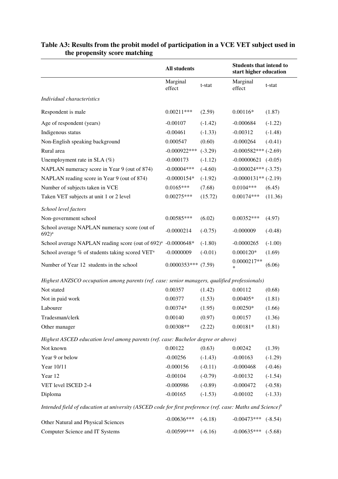|                                                                                                                        | <b>All students</b>   |           | <b>Students that intend to</b><br>start higher education |           |  |
|------------------------------------------------------------------------------------------------------------------------|-----------------------|-----------|----------------------------------------------------------|-----------|--|
|                                                                                                                        | Marginal<br>effect    | t-stat    | Marginal<br>effect                                       | t-stat    |  |
| Individual characteristics                                                                                             |                       |           |                                                          |           |  |
| Respondent is male                                                                                                     | $0.00211***$          | (2.59)    | $0.00116*$                                               | (1.87)    |  |
| Age of respondent (years)                                                                                              | $-0.00107$            | $(-1.42)$ | $-0.000684$                                              | $(-1.22)$ |  |
| Indigenous status                                                                                                      | $-0.00461$            | $(-1.33)$ | $-0.00312$                                               | $(-1.48)$ |  |
| Non-English speaking background                                                                                        | 0.000547              | (0.60)    | $-0.000264$                                              | $(-0.41)$ |  |
| Rural area                                                                                                             | $-0.000922***$        | $(-3.29)$ | $-0.000582***$ (-2.69)                                   |           |  |
| Unemployment rate in SLA (%)                                                                                           | $-0.000173$           | $(-1.12)$ | $-0.00000621$ $(-0.05)$                                  |           |  |
| NAPLAN numeracy score in Year 9 (out of 874)                                                                           | $-0.00004***$         | $(-4.60)$ | $-0.000024***$ (-3.75)                                   |           |  |
| NAPLAN reading score in Year 9 (out of 874)                                                                            | $-0.0000154*$         | $(-1.92)$ | $-0.0000131**$ (-2.19)                                   |           |  |
| Number of subjects taken in VCE                                                                                        | $0.0165***$           | (7.68)    | $0.0104***$                                              | (6.45)    |  |
| Taken VET subjects at unit 1 or 2 level                                                                                | $0.00275***$          | (15.72)   | $0.00174***$                                             | (11.36)   |  |
| School level factors                                                                                                   |                       |           |                                                          |           |  |
| Non-government school                                                                                                  | $0.00585***$          | (6.02)    | $0.00352***$                                             | (4.97)    |  |
| School average NAPLAN numeracy score (out of<br>$692)^{a}$                                                             | $-0.0000214$          | $(-0.75)$ | $-0.000009$                                              | $(-0.48)$ |  |
| School average NAPLAN reading score (out of 692) <sup>a</sup>                                                          | $-0.0000648*$         | $(-1.80)$ | $-0.0000265$                                             | $(-1.00)$ |  |
| School average % of students taking scored VET <sup>a</sup>                                                            | $-0.0000009$          | $(-0.01)$ | $0.000120*$                                              | (1.69)    |  |
| Number of Year 12 students in the school                                                                               | $0.0000353***$ (7.59) |           | 0.0000217**<br>$\ast$                                    | (6.06)    |  |
| Highest ANZSCO occupation among parents (ref. case: senior managers, qualified professionals)                          |                       |           |                                                          |           |  |
| Not stated                                                                                                             | 0.00357               | (1.42)    | 0.00112                                                  | (0.68)    |  |
| Not in paid work                                                                                                       | 0.00377               | (1.53)    | $0.00405*$                                               | (1.81)    |  |
| Labourer                                                                                                               | $0.00374*$            | (1.95)    | $0.00250*$                                               | (1.66)    |  |
| Tradesman/clerk                                                                                                        | 0.00140               | (0.97)    | 0.00157                                                  | (1.36)    |  |
| Other manager                                                                                                          | $0.00308**$           | (2.22)    | $0.00181*$                                               | (1.81)    |  |
| Highest ASCED education level among parents (ref. case: Bachelor degree or above)                                      |                       |           |                                                          |           |  |
| Not known                                                                                                              | 0.00122               | (0.63)    | 0.00242                                                  | (1.39)    |  |
| Year 9 or below                                                                                                        | $-0.00256$            | $(-1.43)$ | $-0.00163$                                               | $(-1.29)$ |  |
| Year 10/11                                                                                                             | $-0.000156$           | $(-0.11)$ | $-0.000468$                                              | $(-0.46)$ |  |
| Year 12                                                                                                                | $-0.00104$            | $(-0.79)$ | $-0.00132$                                               | $(-1.54)$ |  |
| VET level ISCED 2-4                                                                                                    | $-0.000986$           | $(-0.89)$ | $-0.000472$                                              | $(-0.58)$ |  |
| Diploma                                                                                                                | $-0.00165$            | $(-1.53)$ | $-0.00102$                                               | $(-1.33)$ |  |
| Intended field of education at university (ASCED code for first preference (ref. case: Maths and Science) <sup>b</sup> |                       |           |                                                          |           |  |
| Other Natural and Physical Sciences                                                                                    | $-0.00636***$         | $(-6.18)$ | $-0.00473***$                                            | $(-8.54)$ |  |
| Computer Science and IT Systems                                                                                        | $-0.00599$ ***        | $(-6.16)$ | $-0.00635***$                                            | $(-5.68)$ |  |

#### **Table A3: Results from the probit model of participation in a VCE VET subject used in the propensity score matching**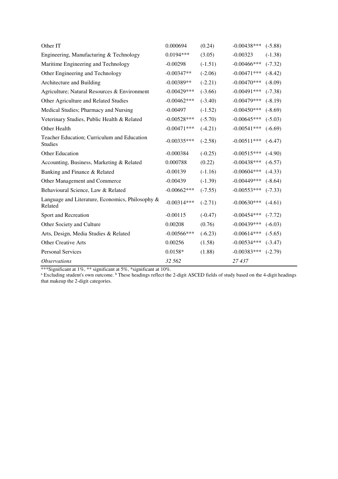| Other IT                                                      | 0.000694       | (0.24)    | $-0.00438***$  | $(-5.88)$ |
|---------------------------------------------------------------|----------------|-----------|----------------|-----------|
| Engineering, Manufacturing & Technology                       | $0.0194***$    | (3.05)    | $-0.00323$     | $(-1.38)$ |
| Maritime Engineering and Technology                           | $-0.00298$     | $(-1.51)$ | $-0.00466$ *** | $(-7.32)$ |
| Other Engineering and Technology                              | $-0.00347**$   | $(-2.06)$ | $-0.00471***$  | $(-8.42)$ |
| Architecture and Building                                     | $-0.00389**$   | $(-2.21)$ | $-0.00470***$  | $(-8.09)$ |
| Agriculture; Natural Resources & Environment                  | $-0.00429***$  | $(-3.66)$ | $-0.00491$ *** | $(-7.38)$ |
| Other Agriculture and Related Studies                         | $-0.00462***$  | $(-3.40)$ | $-0.00479***$  | $(-8.19)$ |
| Medical Studies; Pharmacy and Nursing                         | $-0.00497$     | $(-1.52)$ | $-0.00450***$  | $(-8.69)$ |
| Veterinary Studies, Public Health & Related                   | $-0.00528***$  | $(-5.70)$ | $-0.00645***$  | $(-5.03)$ |
| Other Health                                                  | $-0.00471***$  | $(-4.21)$ | $-0.00541***$  | $(-6.69)$ |
| Teacher Education; Curriculum and Education<br><b>Studies</b> | $-0.00335***$  | $(-2.58)$ | $-0.00511***$  | $(-6.47)$ |
| Other Education                                               | $-0.000384$    | $(-0.25)$ | $-0.00515***$  | $(-4.90)$ |
| Accounting, Business, Marketing & Related                     | 0.000788       | (0.22)    | $-0.00438***$  | $(-6.57)$ |
| Banking and Finance & Related                                 | $-0.00139$     | $(-1.16)$ | $-0.00604***$  | $(-4.33)$ |
| Other Management and Commerce                                 | $-0.00439$     | $(-1.39)$ | $-0.00449$ *** | $(-8.64)$ |
| Behavioural Science, Law & Related                            | $-0.00662***$  | $(-7.55)$ | $-0.00553***$  | $(-7.33)$ |
| Language and Literature, Economics, Philosophy &<br>Related   | $-0.00314***$  | $(-2.71)$ | $-0.00630***$  | $(-4.61)$ |
| Sport and Recreation                                          | $-0.00115$     | $(-0.47)$ | $-0.00454***$  | $(-7.72)$ |
| Other Society and Culture                                     | 0.00208        | (0.76)    | $-0.00439***$  | $(-6.03)$ |
| Arts, Design, Media Studies & Related                         | $-0.00566$ *** | $(-6.23)$ | $-0.00614***$  | $(-5.65)$ |
| <b>Other Creative Arts</b>                                    | 0.00256        | (1.58)    | $-0.00534***$  | $(-3.47)$ |
| <b>Personal Services</b>                                      | $0.0158*$      | (1.88)    | $-0.00383***$  | $(-2.79)$ |
| <i><b>Observations</b></i>                                    | 32 562         |           | 27 437         |           |

\*\*\*Significant at 1%, \*\* significant at 5%, \*significant at 10%. a Excluding student's own outcome. <sup>b</sup> These headings reflect the 2-digit ASCED fields of study based on the 4-digit headings that makeup the 2-digit categories.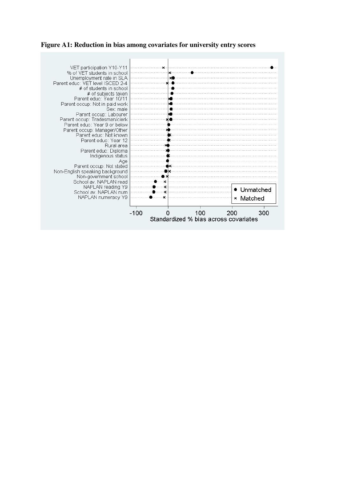# **Figure A1: Reduction in bias among covariates for university entry scores**

| VET participation Y10-Y11        |      |                                       |              |
|----------------------------------|------|---------------------------------------|--------------|
| % of VET students in school      |      |                                       |              |
| Unemployment rate in SLA         |      |                                       |              |
| Parent educ: VET level ISCED 2-4 |      |                                       |              |
| # of students in school          |      |                                       |              |
| # of subjects taken              |      |                                       |              |
| Parent educ: Year 10/11          |      |                                       |              |
| Parent occup: Not in paid work   |      |                                       |              |
| Sex: male                        |      |                                       |              |
| Parent occup: Labourer           |      |                                       |              |
| Parent occup: Tradesman/clerk    |      |                                       |              |
| Parent educ: Year 9 or below     |      |                                       |              |
| Parent occup: Manager/Other      |      |                                       |              |
| Parent educ: Not known           |      |                                       |              |
| Parent educ: Year 12             |      |                                       |              |
| Rural area                       |      |                                       |              |
| Parent educ: Diploma             |      |                                       |              |
| Indigenous status                |      |                                       |              |
| Age                              |      |                                       |              |
| Parent occup: Not stated         |      |                                       |              |
| Non-English speaking background  |      |                                       |              |
| Non-government school            |      |                                       |              |
| School av. NAPLAN read           |      |                                       |              |
| NAPLAN reading Y9                |      |                                       |              |
| School av. NAPLAN num            |      |                                       | Unmatched    |
| NAPLAN numeracy Y9               |      |                                       | Matched<br>× |
|                                  |      |                                       |              |
|                                  |      |                                       |              |
|                                  | -100 | 100                                   | 300<br>200   |
|                                  |      | Standardized % bias across covariates |              |
|                                  |      |                                       |              |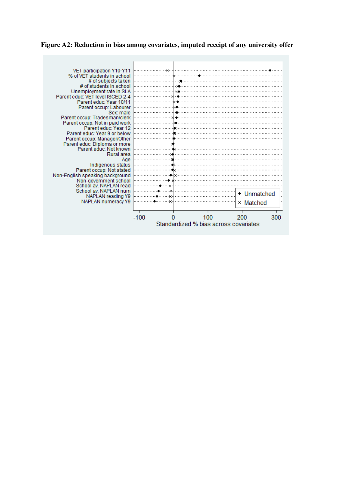**Figure A2: Reduction in bias among covariates, imputed receipt of any university offer**